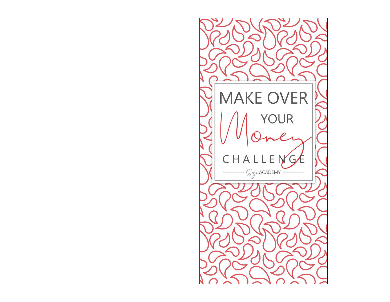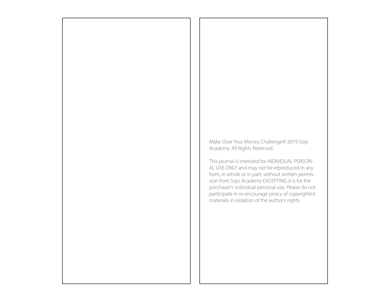Make Over Your Money Challenge© 2019 Sojo Academy. All Rights Reserved.

This journal is intended for INDIVIDUAL PERSON-AL USE ONLY and may not be reproduced in any form, in whole or in part, without written permission from Sojo Academy EXCEPTING it is for the purchaser's individual personal use. Please do not participate in or encourage piracy of copyrighted materials in violation of the author's rights.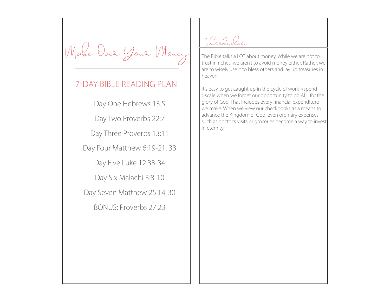Make Over Your Money

## 7-DAY BIBLE READING PLAN

Day One Hebrews 13:5

Day Two Proverbs 22:7

Day Three Proverbs 13:11

Day Four Matthew 6:19-21, 33

Day Five Luke 12:33-34

Day Six Malachi 3:8-10

Day Seven Matthew 25:14-30

BONUS: Proverbs 27:23

Introduction:

The Bible talks a LOT about money. While we are not to trust in riches, we aren't to avoid money either. Rather, we are to wisely use it to bless others and lay up treasures in heaven.

It's easy to get caught up in the cycle of work->spend- >scale when we forget our opportunity to do ALL for the glory of God. That includes every financial expenditure we make. When we view our checkbooks as a means to advance the Kingdom of God, even ordinary expenses such as doctor's visits or groceries become a way to invest in eternity.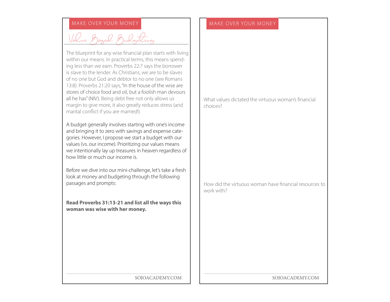## MAKE OVER YOUR MONEY MAKE OVER YOUR MONEY

Value Baged Budgeting

The blueprint for any wise financial plan starts with living within our means. In practical terms, this means spending less than we earn. Proverbs 22:7 says the borrower is slave to the lender. As Christians, we are to be slaves of no one but God and debtor to no one (see Romans 13:8). Proverbs 21:20 says, "In the house of the wise are stores of choice food and oil, but a foolish man devours all he has" (NIV). Being debt free not only allows us margin to give more, it also greatly reduces stress (and marital conflict if you are married!)

A budget generally involves starting with one's income and bringing it to zero with savings and expense categories. However, I propose we start a budget with our values (vs. our income). Prioritizing our values means we intentionally lay up treasures in heaven regardless of how little or much our income is.

Before we dive into our mini-challenge, let's take a fresh look at money and budgeting through the following passages and prompts:

**Read Proverbs 31:13-21 and list all the ways this woman was wise with her money.** 

What values dictated the virtuous woman's financial choices?

How did the virtuous woman have financial resources to work with?

SOJOACADEMY.COM SOJOACADEMY.COM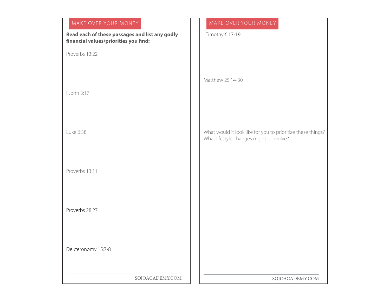# SOJOACADEMY.COM SOJOACADEMY.COM MAKE OVER YOUR MONEY MAKE OVER YOUR MONEY **Read each of these passages and list any godly financial values/priorities you find:**  Proverbs 13:22 I John 3:17 Luke 6:38 Proverbs 13:11 Proverbs 28:27 Deuteronomy 15:7-8 I Timothy 6:17-19 Matthew 25:14-30 What would it look like for you to prioritize these things? What lifestyle changes might it involve?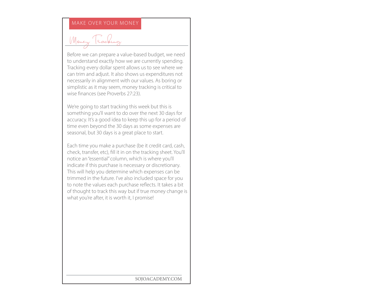### MAKE OVER YOUR MONEY

Money Tracking

Before we can prepare a value-based budget, we need to understand exactly how we are currently spending. Tracking every dollar spent allows us to see where we can trim and adjust. It also shows us expenditures not necessarily in alignment with our values. As boring or simplistic as it may seem, money tracking is critical to wise finances (see Proverbs 27:23).

We're going to start tracking this week but this is something you'll want to do over the next 30 days for accuracy. It's a good idea to keep this up for a period of time even beyond the 30 days as some expenses are seasonal, but 30 days is a great place to start.

Each time you make a purchase (be it credit card, cash, check, transfer, etc), fill it in on the tracking sheet. You'll notice an "essential" column, which is where you'll indicate if this purchase is necessary or discretionary. This will help you determine which expenses can be trimmed in the future. I've also included space for you to note the values each purchase reflects. It takes a bit of thought to track this way but if true money change is what you're after, it is worth it, I promise!

SOJOACADEMY.COM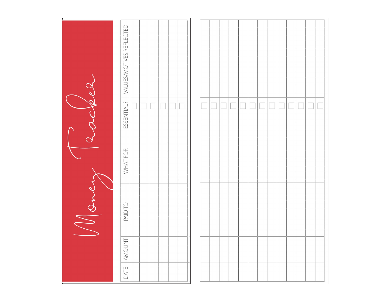| $\overline{\rho}$  | VALUES/MOTIVES REFLECTED |  |  |  |  |  |  |  |  |  |  |
|--------------------|--------------------------|--|--|--|--|--|--|--|--|--|--|
| $\widehat{\sigma}$ | ESSENTIAL?               |  |  |  |  |  |  |  |  |  |  |
|                    | WHAT FOR                 |  |  |  |  |  |  |  |  |  |  |
| Won                | PAID TO                  |  |  |  |  |  |  |  |  |  |  |
|                    | AMOUNT                   |  |  |  |  |  |  |  |  |  |  |
|                    | DATE                     |  |  |  |  |  |  |  |  |  |  |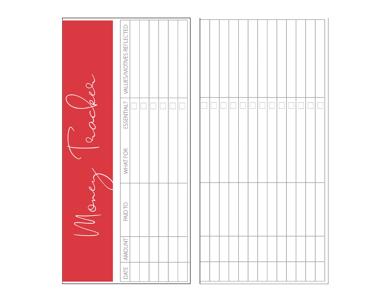| $\overline{Q}$                                            | VALUES/MOTIVES REFLECTED |  |  |  |  |  |  |  |  |  |
|-----------------------------------------------------------|--------------------------|--|--|--|--|--|--|--|--|--|
| $\mathscr{D}% _{A\rightarrow B}^{A\rightarrow B}(\theta)$ | ESSENTIAL?               |  |  |  |  |  |  |  |  |  |
|                                                           | WHAT FOR                 |  |  |  |  |  |  |  |  |  |
| d<br>Wow                                                  | PAID TO                  |  |  |  |  |  |  |  |  |  |
|                                                           | <b>AMOUNT</b>            |  |  |  |  |  |  |  |  |  |
|                                                           | DATE                     |  |  |  |  |  |  |  |  |  |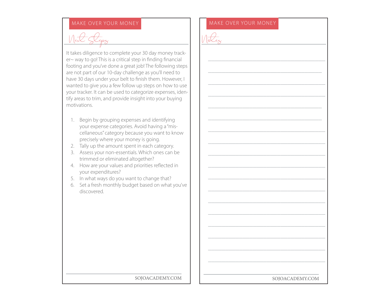Next Steps

It takes diligence to complete your 30 day money tracker~ way to go! This is a critical step in finding financial footing and you've done a great job! The following steps are not part of our 10-day challenge as you'll need to have 30 days under your belt to finish them. However, I wanted to give you a few follow up steps on how to use your tracker. It can be used to categorize expenses, identify areas to trim, and provide insight into your buying motivations.

- 1. Begin by grouping expenses and identifying your expense categories. Avoid having a "miscellaneous" category because you want to know precisely where your money is going.
- 2. Tally up the amount spent in each category.
- 3. Assess your non-essentials. Which ones can be trimmed or eliminated altogether?
- 4. How are your values and priorities reflected in your expenditures?
- 5. In what ways do you want to change that?
- 6. Set a fresh monthly budget based on what you've discovered.

### MAKE OVER YOUR MONEY MAKE OVER YOUR MONEY

\_\_\_\_\_\_\_\_\_\_\_\_\_\_\_\_\_\_\_\_\_\_\_\_\_\_\_\_\_\_\_\_\_\_

\_\_\_\_\_\_\_\_\_\_\_\_\_\_\_\_\_\_\_\_\_\_\_\_\_\_\_\_\_\_\_\_\_

\_\_\_\_\_\_\_\_\_\_\_\_\_\_\_\_\_\_\_\_\_\_\_\_\_\_\_\_\_\_\_\_\_\_

\_\_\_\_\_\_\_\_\_\_\_\_\_\_\_\_\_\_\_\_\_\_\_\_\_\_\_\_\_\_\_\_\_\_

\_\_\_\_\_\_\_\_\_\_\_\_\_\_\_\_\_\_\_\_\_\_\_\_\_\_\_\_\_\_\_\_\_

\_\_\_\_\_\_\_\_\_\_\_\_\_\_\_\_\_\_\_\_\_\_\_\_\_\_\_\_\_\_\_\_\_

\_\_\_\_\_\_\_\_\_\_\_\_\_\_\_\_\_\_\_\_\_\_\_\_\_\_\_\_\_\_\_\_\_\_

\_\_\_\_\_\_\_\_\_\_\_\_\_\_\_\_\_\_\_\_\_\_\_\_\_\_\_\_\_\_\_\_\_\_

\_\_\_\_\_\_\_\_\_\_\_\_\_\_\_\_\_\_\_\_\_\_\_\_\_\_\_\_\_\_\_\_\_\_

\_\_\_\_\_\_\_\_\_\_\_\_\_\_\_\_\_\_\_\_\_\_\_\_\_\_\_\_\_\_\_\_\_\_

\_\_\_\_\_\_\_\_\_\_\_\_\_\_\_\_\_\_\_\_\_\_\_\_\_\_\_\_\_\_\_\_\_\_

\_\_\_\_\_\_\_\_\_\_\_\_\_\_\_\_\_\_\_\_\_\_\_\_\_\_\_\_\_\_\_\_\_\_

\_\_\_\_\_\_\_\_\_\_\_\_\_\_\_\_\_\_\_\_\_\_\_\_\_\_\_\_\_\_\_\_\_\_

\_\_\_\_\_\_\_\_\_\_\_\_\_\_\_\_\_\_\_\_\_\_\_\_\_\_\_\_\_\_\_\_\_\_

\_\_\_\_\_\_\_\_\_\_\_\_\_\_\_\_\_\_\_\_\_\_\_\_\_\_\_\_\_\_\_\_\_\_

\_\_\_\_\_\_\_\_\_\_\_\_\_\_\_\_\_\_\_\_\_\_\_\_\_\_\_\_\_\_\_\_\_\_

\_\_\_\_\_\_\_\_\_\_\_\_\_\_\_\_\_\_\_\_\_\_\_\_\_\_\_\_\_\_\_\_\_\_

\_\_\_\_\_\_\_\_\_\_\_\_\_\_\_\_\_\_\_\_\_\_\_\_\_\_\_\_\_\_\_\_\_\_